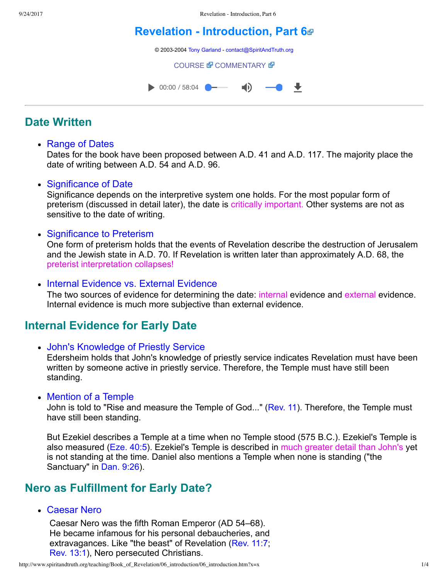# **[Revelation Introduction, Part 6](http://www.spiritandtruth.org/teaching/Book_of_Revelation/06_introduction/index.htm)**

© 2003-2004 [Tony Garland](http://www.spiritandtruth.org/teaching/teachers/tony_garland/bio.htm) - [contact@SpiritAndTruth.org](mailto:contact@SpiritAndTruth.org?subject=ST-MAIL:%20Revelation%20-%20Introduction,%20Part%206)

**[COURSE](http://www.spiritandtruth.org/teaching/Book_of_Revelation/06_introduction/index.htm) & [COMMENTARY](http://www.spiritandtruth.org/teaching/Book_of_Revelation/commentary/htm/index.html?Introduction) &** 



# **Date Written**

• Range of Dates

Dates for the book have been proposed between A.D. 41 and A.D. 117. The majority place the date of writing between A.D. 54 and A.D. 96.

Significance of Date

Significance depends on the interpretive system one holds. For the most popular form of preterism (discussed in detail later), the date is critically important. Other systems are not as sensitive to the date of writing.

• Significance to Preterism

One form of preterism holds that the events of Revelation describe the destruction of Jerusalem and the Jewish state in A.D. 70. If Revelation is written later than approximately A.D. 68, the preterist interpretation collapses!

• Internal Evidence vs. External Evidence

The two sources of evidence for determining the date: internal evidence and external evidence. Internal evidence is much more subjective than external evidence.

# **Internal Evidence for Early Date**

John's Knowledge of Priestly Service

Edersheim holds that John's knowledge of priestly service indicates Revelation must have been written by someone active in priestly service. Therefore, the Temple must have still been standing.

• Mention of a Temple

John is told to "Rise and measure the Temple of God..." ([Rev. 11\)](http://www.spiritandtruth.org/bibles/nasb/b66c011.htm#Rev._C11V1). Therefore, the Temple must have still been standing.

But Ezekiel describes a Temple at a time when no Temple stood (575 B.C.). Ezekiel's Temple is also measured [\(Eze. 40:5\)](http://www.spiritandtruth.org/bibles/nasb/b26c040.htm#Eze._C40V5). Ezekiel's Temple is described in much greater detail than John's yet is not standing at the time. Daniel also mentions a Temple when none is standing ("the Sanctuary" in [Dan. 9:26](http://www.spiritandtruth.org/bibles/nasb/b27c009.htm#Dan._C9V26)).

# **Nero as Fulfillment for Early Date?**

Caesar Nero

Caesar Nero was the fifth Roman Emperor (AD 54–68). He became infamous for his personal debaucheries, and extravagances. Like "the beast" of Revelation ([Rev. 11:7;](http://www.spiritandtruth.org/bibles/nasb/b66c011.htm#Rev._C11V7) [Rev. 13:1](http://www.spiritandtruth.org/bibles/nasb/b66c013.htm#Rev._C13V1)), Nero persecuted Christians.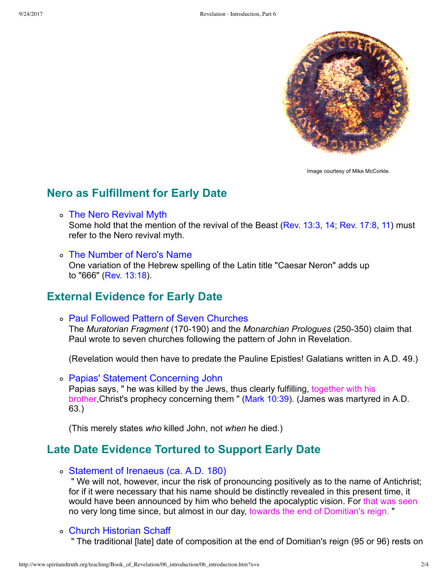

Image courtesy of Mike McCorkle.

### **Nero as Fulfillment for Early Date**

- The Nero Revival Myth Some hold that the mention of the revival of the Beast [\(Rev. 13:3,](http://www.spiritandtruth.org/bibles/nasb/b66c013.htm#Rev._C13V3) [14](http://www.spiritandtruth.org/bibles/nasb/b66c013.htm#Rev._C13V14); [Rev. 17:8,](http://www.spiritandtruth.org/bibles/nasb/b66c017.htm#Rev._C17V8) [11](http://www.spiritandtruth.org/bibles/nasb/b66c017.htm#Rev._C17V11)) must refer to the Nero revival myth.
- The Number of Nero's Name One variation of the Hebrew spelling of the Latin title "Caesar Neron" adds up to "666" ([Rev. 13:18\)](http://www.spiritandtruth.org/bibles/nasb/b66c013.htm#Rev._C13V18).

### **External Evidence for Early Date**

Paul Followed Pattern of Seven Churches The *Muratorian Fragment* (170-190) and the *Monarchian Prologues* (250-350) claim that Paul wrote to seven churches following the pattern of John in Revelation.

(Revelation would then have to predate the Pauline Epistles! Galatians written in A.D. 49.)

Papias' Statement Concerning John Papias says, " he was killed by the Jews, thus clearly fulfilling, together with his brother,Christ's prophecy concerning them " ([Mark 10:39\)](http://www.spiritandtruth.org/bibles/nasb/b41c010.htm#Mark_C10V39). (James was martyred in A.D. 63.)

(This merely states *who* killed John, not *when* he died.)

# **Late Date Evidence Tortured to Support Early Date**

Statement of Irenaeus (ca. A.D. 180)

 " We will not, however, incur the risk of pronouncing positively as to the name of Antichrist; for if it were necessary that his name should be distinctly revealed in this present time, it would have been announced by him who beheld the apocalyptic vision. For that was seen no very long time since, but almost in our day, towards the end of Domitian's reign. "

### Church Historian Schaff

" The traditional [late] date of composition at the end of Domitian's reign (95 or 96) rests on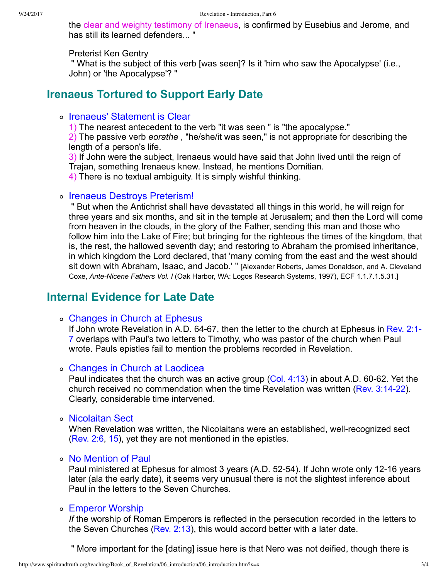the clear and weighty testimony of Irenaeus, is confirmed by Eusebius and Jerome, and has still its learned defenders... "

#### Preterist Ken Gentry

 " What is the subject of this verb [was seen]? Is it 'him who saw the Apocalypse' (i.e., John) or 'the Apocalypse'? "

### **Irenaeus Tortured to Support Early Date**

### o Irenaeus' Statement is Clear

1) The nearest antecedent to the verb "it was seen " is "the apocalypse."

2) The passive verb *eorathe* , "he/she/it was seen," is not appropriate for describing the length of a person's life.

3) If John were the subject, Irenaeus would have said that John lived until the reign of Trajan, something Irenaeus knew. Instead, he mentions Domitian.

4) There is no textual ambiguity. It is simply wishful thinking.

### ∘ Irenaeus Destroys Preterism!

 " But when the Antichrist shall have devastated all things in this world, he will reign for three years and six months, and sit in the temple at Jerusalem; and then the Lord will come from heaven in the clouds, in the glory of the Father, sending this man and those who follow him into the Lake of Fire; but bringing for the righteous the times of the kingdom, that is, the rest, the hallowed seventh day; and restoring to Abraham the promised inheritance, in which kingdom the Lord declared, that 'many coming from the east and the west should sit down with Abraham, Isaac, and Jacob.' " [Alexander Roberts, James Donaldson, and A. Cleveland Coxe, Ante-Nicene Fathers Vol. I (Oak Harbor, WA: Logos Research Systems, 1997), ECF 1.1.7.1.5.31.]

### **Internal Evidence for Late Date**

### Changes in Church at Ephesus

If John wrote Revelation in A.D. 64-67, then the letter to the church at Ephesus in Rev.  $2:1$ -7 overlaps with Paul's two letters to Timothy, who was pastor of the church when Paul wrote. Pauls epistles fail to mention the problems recorded in Revelation.

### Changes in Church at Laodicea

Paul indicates that the church was an active group  $(Col. 4:13)$  $(Col. 4:13)$  in about A.D. 60-62. Yet the church received no commendation when the time Revelation was written (Rev.  $3:14-22$ ). Clearly, considerable time intervened.

#### ∘ Nicolaitan Sect

When Revelation was written, the Nicolaitans were an established, well-recognized sect [\(Rev. 2:6,](http://www.spiritandtruth.org/bibles/nasb/b66c002.htm#Rev._C2V6) [15\)](http://www.spiritandtruth.org/bibles/nasb/b66c002.htm#Rev._C2V15), yet they are not mentioned in the epistles.

### No Mention of Paul

Paul ministered at Ephesus for almost 3 years (A.D. 52-54). If John wrote only 12-16 years later (ala the early date), it seems very unusual there is not the slightest inference about Paul in the letters to the Seven Churches.

### Emperor Worship

*If* the worship of Roman Emperors is reflected in the persecution recorded in the letters to the Seven Churches ( $Rev. 2:13$ ), this would accord better with a later date.

" More important for the [dating] issue here is that Nero was not deified, though there is